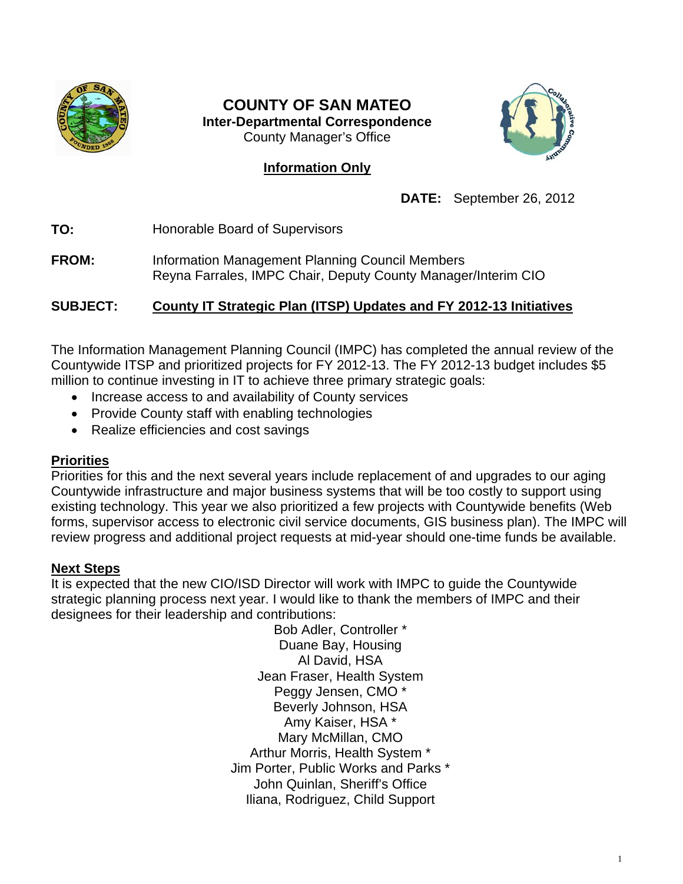

# **COUNTY OF SAN MATEO Inter-Departmental Correspondence**  County Manager's Office

# **Information Only**



**DATE:** September 26, 2012

**TO:** Honorable Board of Supervisors

**FROM:** Information Management Planning Council Members Reyna Farrales, IMPC Chair, Deputy County Manager/Interim CIO

# **SUBJECT: County IT Strategic Plan (ITSP) Updates and FY 2012-13 Initiatives**

The Information Management Planning Council (IMPC) has completed the annual review of the Countywide ITSP and prioritized projects for FY 2012-13. The FY 2012-13 budget includes \$5 million to continue investing in IT to achieve three primary strategic goals:

- Increase access to and availability of County services
- Provide County staff with enabling technologies
- Realize efficiencies and cost savings

# **Priorities**

Priorities for this and the next several years include replacement of and upgrades to our aging Countywide infrastructure and major business systems that will be too costly to support using existing technology. This year we also prioritized a few projects with Countywide benefits (Web forms, supervisor access to electronic civil service documents, GIS business plan). The IMPC will review progress and additional project requests at mid-year should one-time funds be available.

# **Next Steps**

It is expected that the new CIO/ISD Director will work with IMPC to guide the Countywide strategic planning process next year. I would like to thank the members of IMPC and their designees for their leadership and contributions:

> Bob Adler, Controller \* Duane Bay, Housing Al David, HSA Jean Fraser, Health System Peggy Jensen, CMO \* Beverly Johnson, HSA Amy Kaiser, HSA \* Mary McMillan, CMO Arthur Morris, Health System \* Jim Porter, Public Works and Parks \* John Quinlan, Sheriff's Office Iliana, Rodriguez, Child Support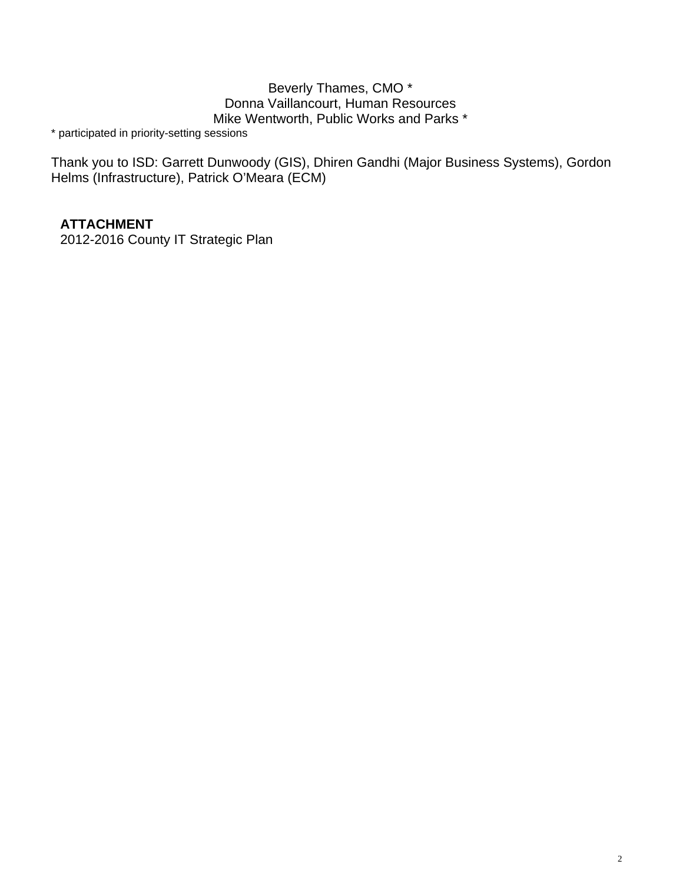# Beverly Thames, CMO \* Donna Vaillancourt, Human Resources Mike Wentworth, Public Works and Parks \*

\* participated in priority-setting sessions

Thank you to ISD: Garrett Dunwoody (GIS), Dhiren Gandhi (Major Business Systems), Gordon Helms (Infrastructure), Patrick O'Meara (ECM)

# **ATTACHMENT**

2012-2016 County IT Strategic Plan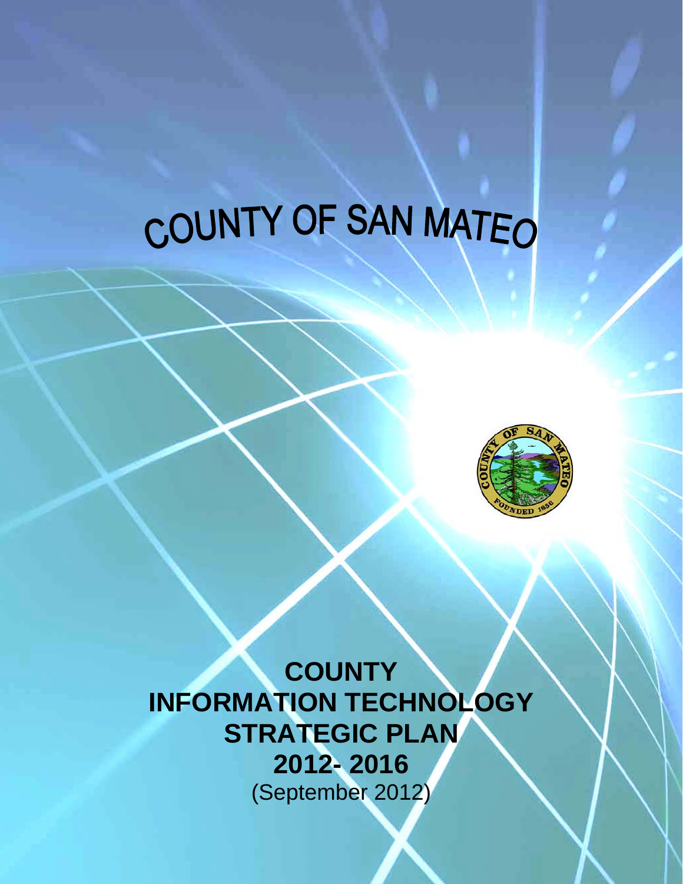# COUNTY OF SAN MATEO



**COUNTY INFORMATION TECHNOLOGY STRATEGIC PLAN 2012- 2016**  (September 2012)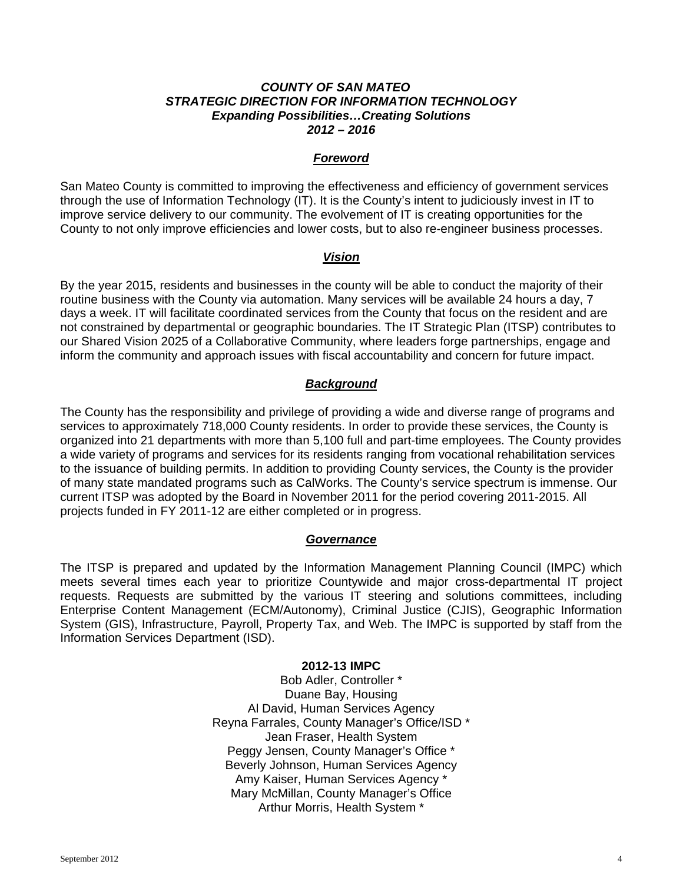#### *COUNTY OF SAN MATEO STRATEGIC DIRECTION FOR INFORMATION TECHNOLOGY Expanding Possibilities…Creating Solutions 2012 – 2016*

### *Foreword*

San Mateo County is committed to improving the effectiveness and efficiency of government services through the use of Information Technology (IT). It is the County's intent to judiciously invest in IT to improve service delivery to our community. The evolvement of IT is creating opportunities for the County to not only improve efficiencies and lower costs, but to also re-engineer business processes.

## *Vision*

By the year 2015, residents and businesses in the county will be able to conduct the majority of their routine business with the County via automation. Many services will be available 24 hours a day, 7 days a week. IT will facilitate coordinated services from the County that focus on the resident and are not constrained by departmental or geographic boundaries. The IT Strategic Plan (ITSP) contributes to our Shared Vision 2025 of a Collaborative Community, where leaders forge partnerships, engage and inform the community and approach issues with fiscal accountability and concern for future impact.

## *Background*

The County has the responsibility and privilege of providing a wide and diverse range of programs and services to approximately 718,000 County residents. In order to provide these services, the County is organized into 21 departments with more than 5,100 full and part-time employees. The County provides a wide variety of programs and services for its residents ranging from vocational rehabilitation services to the issuance of building permits. In addition to providing County services, the County is the provider of many state mandated programs such as CalWorks. The County's service spectrum is immense. Our current ITSP was adopted by the Board in November 2011 for the period covering 2011-2015. All projects funded in FY 2011-12 are either completed or in progress.

#### *Governance*

The ITSP is prepared and updated by the Information Management Planning Council (IMPC) which meets several times each year to prioritize Countywide and major cross-departmental IT project requests. Requests are submitted by the various IT steering and solutions committees, including Enterprise Content Management (ECM/Autonomy), Criminal Justice (CJIS), Geographic Information System (GIS), Infrastructure, Payroll, Property Tax, and Web. The IMPC is supported by staff from the Information Services Department (ISD).

#### **2012-13 IMPC**

Bob Adler, Controller \* Duane Bay, Housing Al David, Human Services Agency Reyna Farrales, County Manager's Office/ISD \* Jean Fraser, Health System Peggy Jensen, County Manager's Office \* Beverly Johnson, Human Services Agency Amy Kaiser, Human Services Agency \* Mary McMillan, County Manager's Office Arthur Morris, Health System \*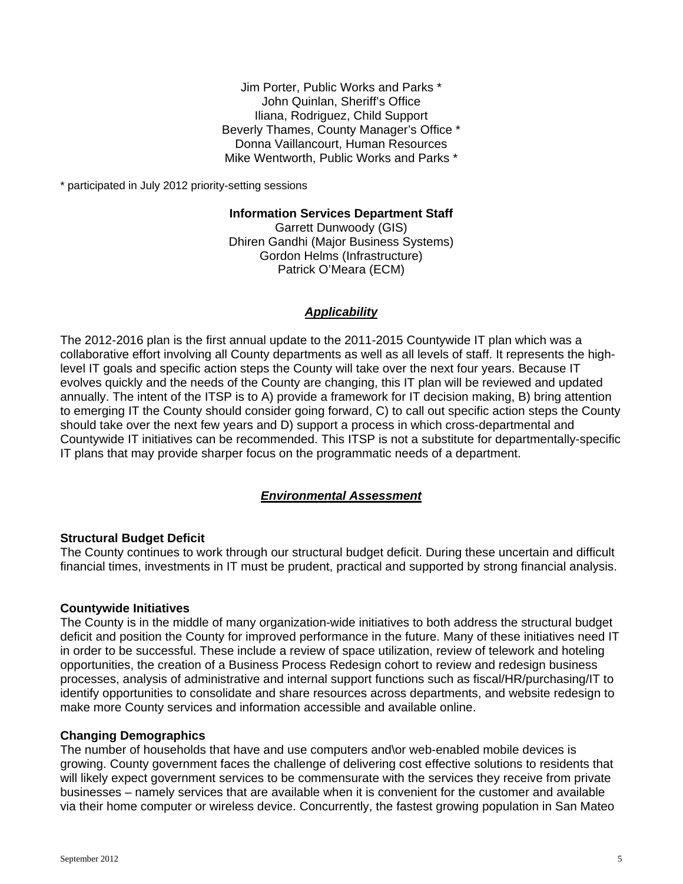Jim Porter, Public Works and Parks \* John Quinlan, Sheriff's Office Iliana, Rodriguez, Child Support Beverly Thames, County Manager's Office \* Donna Vaillancourt, Human Resources Mike Wentworth, Public Works and Parks \*

\* participated in July 2012 priority-setting sessions

**Information Services Department Staff** 

Garrett Dunwoody (GIS) Dhiren Gandhi (Major Business Systems) Gordon Helms (Infrastructure) Patrick O'Meara (ECM)

#### *Applicability*

The 2012-2016 plan is the first annual update to the 2011-2015 Countywide IT plan which was a collaborative effort involving all County departments as well as all levels of staff. It represents the highlevel IT goals and specific action steps the County will take over the next four years. Because IT evolves quickly and the needs of the County are changing, this IT plan will be reviewed and updated annually. The intent of the ITSP is to A) provide a framework for IT decision making, B) bring attention to emerging IT the County should consider going forward, C) to call out specific action steps the County should take over the next few years and D) support a process in which cross-departmental and Countywide IT initiatives can be recommended. This ITSP is not a substitute for departmentally-specific IT plans that may provide sharper focus on the programmatic needs of a department.

#### *Environmental Assessment*

#### **Structural Budget Deficit**

The County continues to work through our structural budget deficit. During these uncertain and difficult financial times, investments in IT must be prudent, practical and supported by strong financial analysis.

#### **Countywide Initiatives**

The County is in the middle of many organization-wide initiatives to both address the structural budget deficit and position the County for improved performance in the future. Many of these initiatives need IT in order to be successful. These include a review of space utilization, review of telework and hoteling opportunities, the creation of a Business Process Redesign cohort to review and redesign business processes, analysis of administrative and internal support functions such as fiscal/HR/purchasing/IT to identify opportunities to consolidate and share resources across departments, and website redesign to make more County services and information accessible and available online.

#### **Changing Demographics**

The number of households that have and use computers and\or web-enabled mobile devices is growing. County government faces the challenge of delivering cost effective solutions to residents that will likely expect government services to be commensurate with the services they receive from private businesses – namely services that are available when it is convenient for the customer and available via their home computer or wireless device. Concurrently, the fastest growing population in San Mateo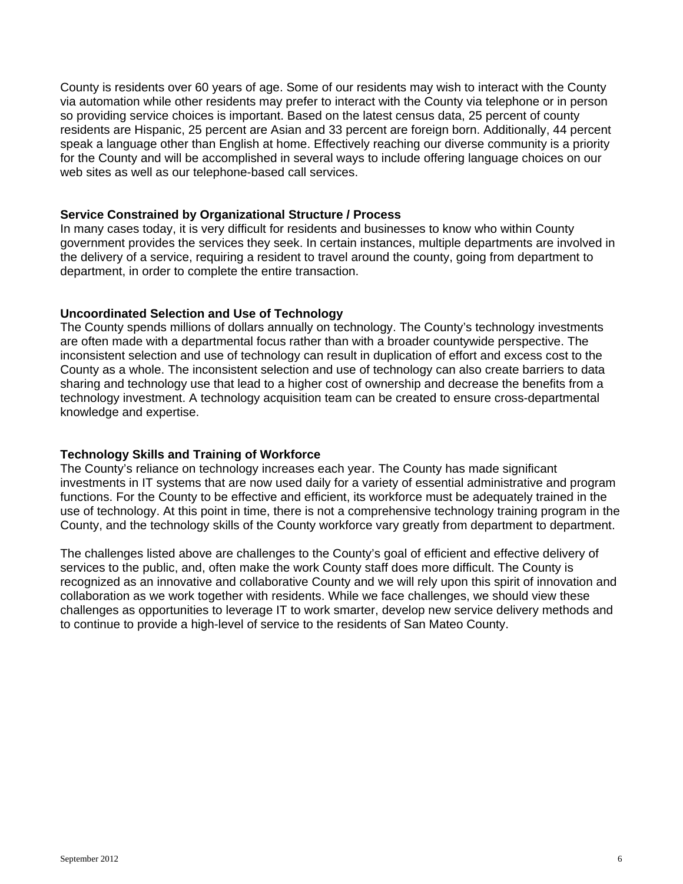County is residents over 60 years of age. Some of our residents may wish to interact with the County via automation while other residents may prefer to interact with the County via telephone or in person so providing service choices is important. Based on the latest census data, 25 percent of county residents are Hispanic, 25 percent are Asian and 33 percent are foreign born. Additionally, 44 percent speak a language other than English at home. Effectively reaching our diverse community is a priority for the County and will be accomplished in several ways to include offering language choices on our web sites as well as our telephone-based call services.

#### **Service Constrained by Organizational Structure / Process**

In many cases today, it is very difficult for residents and businesses to know who within County government provides the services they seek. In certain instances, multiple departments are involved in the delivery of a service, requiring a resident to travel around the county, going from department to department, in order to complete the entire transaction.

# **Uncoordinated Selection and Use of Technology**

The County spends millions of dollars annually on technology. The County's technology investments are often made with a departmental focus rather than with a broader countywide perspective. The inconsistent selection and use of technology can result in duplication of effort and excess cost to the County as a whole. The inconsistent selection and use of technology can also create barriers to data sharing and technology use that lead to a higher cost of ownership and decrease the benefits from a technology investment. A technology acquisition team can be created to ensure cross-departmental knowledge and expertise.

# **Technology Skills and Training of Workforce**

The County's reliance on technology increases each year. The County has made significant investments in IT systems that are now used daily for a variety of essential administrative and program functions. For the County to be effective and efficient, its workforce must be adequately trained in the use of technology. At this point in time, there is not a comprehensive technology training program in the County, and the technology skills of the County workforce vary greatly from department to department.

The challenges listed above are challenges to the County's goal of efficient and effective delivery of services to the public, and, often make the work County staff does more difficult. The County is recognized as an innovative and collaborative County and we will rely upon this spirit of innovation and collaboration as we work together with residents. While we face challenges, we should view these challenges as opportunities to leverage IT to work smarter, develop new service delivery methods and to continue to provide a high-level of service to the residents of San Mateo County.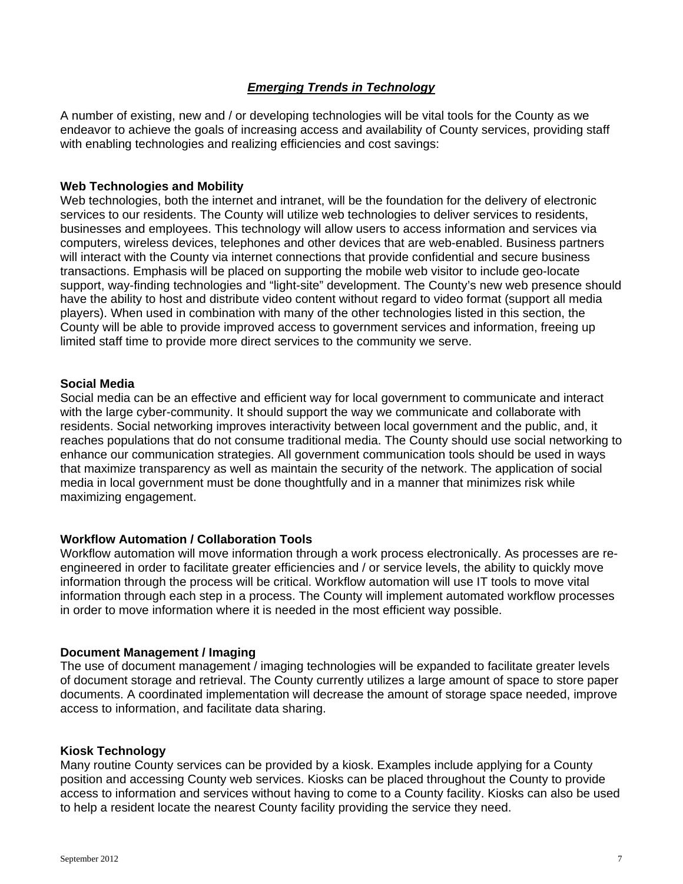# *Emerging Trends in Technology*

A number of existing, new and / or developing technologies will be vital tools for the County as we endeavor to achieve the goals of increasing access and availability of County services, providing staff with enabling technologies and realizing efficiencies and cost savings:

#### **Web Technologies and Mobility**

Web technologies, both the internet and intranet, will be the foundation for the delivery of electronic services to our residents. The County will utilize web technologies to deliver services to residents, businesses and employees. This technology will allow users to access information and services via computers, wireless devices, telephones and other devices that are web-enabled. Business partners will interact with the County via internet connections that provide confidential and secure business transactions. Emphasis will be placed on supporting the mobile web visitor to include geo-locate support, way-finding technologies and "light-site" development. The County's new web presence should have the ability to host and distribute video content without regard to video format (support all media players). When used in combination with many of the other technologies listed in this section, the County will be able to provide improved access to government services and information, freeing up limited staff time to provide more direct services to the community we serve.

#### **Social Media**

Social media can be an effective and efficient way for local government to communicate and interact with the large cyber-community. It should support the way we communicate and collaborate with residents. Social networking improves interactivity between local government and the public, and, it reaches populations that do not consume traditional media. The County should use social networking to enhance our communication strategies. All government communication tools should be used in ways that maximize transparency as well as maintain the security of the network. The application of social media in local government must be done thoughtfully and in a manner that minimizes risk while maximizing engagement.

#### **Workflow Automation / Collaboration Tools**

Workflow automation will move information through a work process electronically. As processes are reengineered in order to facilitate greater efficiencies and / or service levels, the ability to quickly move information through the process will be critical. Workflow automation will use IT tools to move vital information through each step in a process. The County will implement automated workflow processes in order to move information where it is needed in the most efficient way possible.

#### **Document Management / Imaging**

The use of document management / imaging technologies will be expanded to facilitate greater levels of document storage and retrieval. The County currently utilizes a large amount of space to store paper documents. A coordinated implementation will decrease the amount of storage space needed, improve access to information, and facilitate data sharing.

#### **Kiosk Technology**

Many routine County services can be provided by a kiosk. Examples include applying for a County position and accessing County web services. Kiosks can be placed throughout the County to provide access to information and services without having to come to a County facility. Kiosks can also be used to help a resident locate the nearest County facility providing the service they need.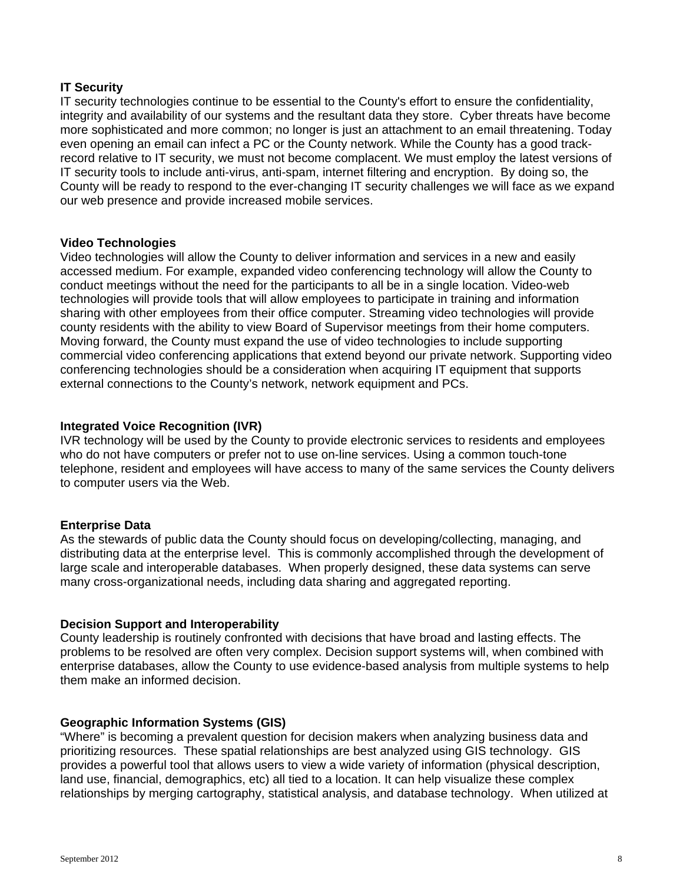## **IT Security**

IT security technologies continue to be essential to the County's effort to ensure the confidentiality, integrity and availability of our systems and the resultant data they store. Cyber threats have become more sophisticated and more common; no longer is just an attachment to an email threatening. Today even opening an email can infect a PC or the County network. While the County has a good trackrecord relative to IT security, we must not become complacent. We must employ the latest versions of IT security tools to include anti-virus, anti-spam, internet filtering and encryption. By doing so, the County will be ready to respond to the ever-changing IT security challenges we will face as we expand our web presence and provide increased mobile services.

## **Video Technologies**

Video technologies will allow the County to deliver information and services in a new and easily accessed medium. For example, expanded video conferencing technology will allow the County to conduct meetings without the need for the participants to all be in a single location. Video-web technologies will provide tools that will allow employees to participate in training and information sharing with other employees from their office computer. Streaming video technologies will provide county residents with the ability to view Board of Supervisor meetings from their home computers. Moving forward, the County must expand the use of video technologies to include supporting commercial video conferencing applications that extend beyond our private network. Supporting video conferencing technologies should be a consideration when acquiring IT equipment that supports external connections to the County's network, network equipment and PCs.

## **Integrated Voice Recognition (IVR)**

IVR technology will be used by the County to provide electronic services to residents and employees who do not have computers or prefer not to use on-line services. Using a common touch-tone telephone, resident and employees will have access to many of the same services the County delivers to computer users via the Web.

# **Enterprise Data**

As the stewards of public data the County should focus on developing/collecting, managing, and distributing data at the enterprise level. This is commonly accomplished through the development of large scale and interoperable databases. When properly designed, these data systems can serve many cross-organizational needs, including data sharing and aggregated reporting.

#### **Decision Support and Interoperability**

County leadership is routinely confronted with decisions that have broad and lasting effects. The problems to be resolved are often very complex. Decision support systems will, when combined with enterprise databases, allow the County to use evidence-based analysis from multiple systems to help them make an informed decision.

#### **Geographic Information Systems (GIS)**

"Where" is becoming a prevalent question for decision makers when analyzing business data and prioritizing resources. These spatial relationships are best analyzed using GIS technology. GIS provides a powerful tool that allows users to view a wide variety of information (physical description, land use, financial, demographics, etc) all tied to a location. It can help visualize these complex relationships by merging cartography, statistical analysis, and database technology. When utilized at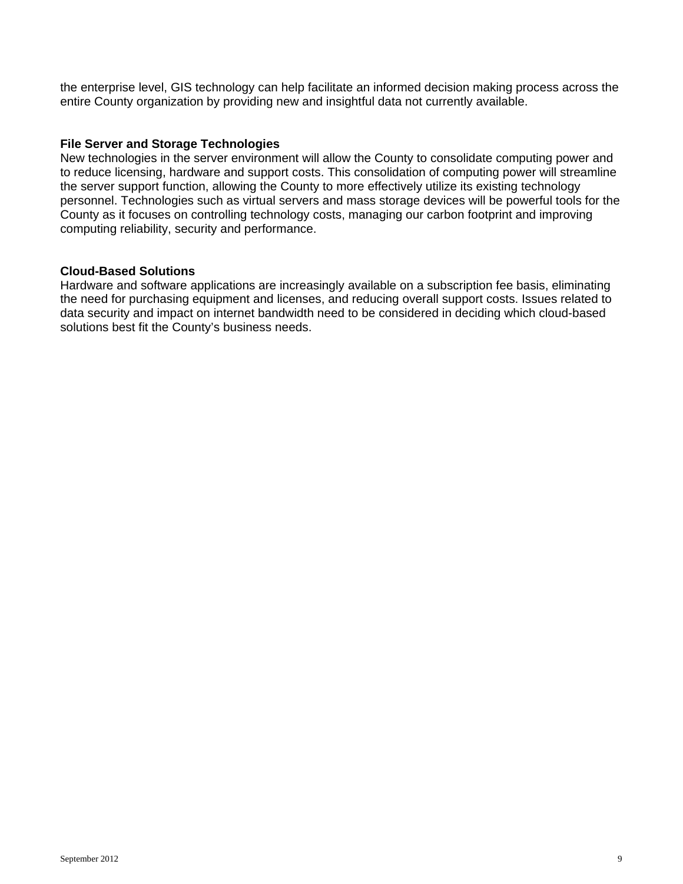the enterprise level, GIS technology can help facilitate an informed decision making process across the entire County organization by providing new and insightful data not currently available.

#### **File Server and Storage Technologies**

New technologies in the server environment will allow the County to consolidate computing power and to reduce licensing, hardware and support costs. This consolidation of computing power will streamline the server support function, allowing the County to more effectively utilize its existing technology personnel. Technologies such as virtual servers and mass storage devices will be powerful tools for the County as it focuses on controlling technology costs, managing our carbon footprint and improving computing reliability, security and performance.

## **Cloud-Based Solutions**

Hardware and software applications are increasingly available on a subscription fee basis, eliminating the need for purchasing equipment and licenses, and reducing overall support costs. Issues related to data security and impact on internet bandwidth need to be considered in deciding which cloud-based solutions best fit the County's business needs.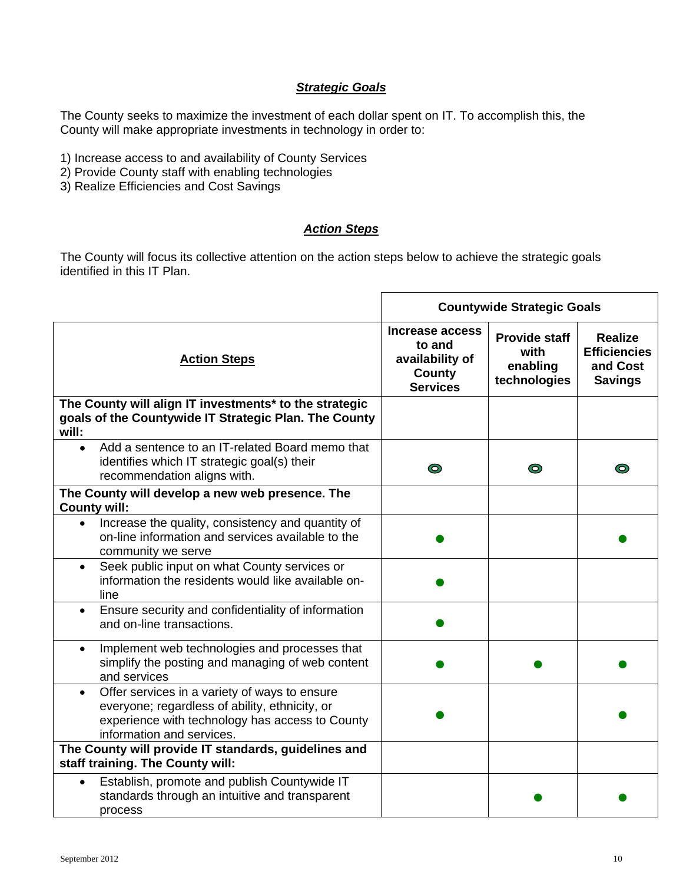# *Strategic Goals*

The County seeks to maximize the investment of each dollar spent on IT. To accomplish this, the County will make appropriate investments in technology in order to:

- 1) Increase access to and availability of County Services
- 2) Provide County staff with enabling technologies
- 3) Realize Efficiencies and Cost Savings

# *Action Steps*

The County will focus its collective attention on the action steps below to achieve the strategic goals identified in this IT Plan.

|                                                                                                                                                                                 |                                                                                  | <b>Countywide Strategic Goals</b>                        |                                                                     |
|---------------------------------------------------------------------------------------------------------------------------------------------------------------------------------|----------------------------------------------------------------------------------|----------------------------------------------------------|---------------------------------------------------------------------|
| <b>Action Steps</b>                                                                                                                                                             | <b>Increase access</b><br>to and<br>availability of<br>County<br><b>Services</b> | <b>Provide staff</b><br>with<br>enabling<br>technologies | <b>Realize</b><br><b>Efficiencies</b><br>and Cost<br><b>Savings</b> |
| The County will align IT investments* to the strategic<br>goals of the Countywide IT Strategic Plan. The County<br>will:                                                        |                                                                                  |                                                          |                                                                     |
| Add a sentence to an IT-related Board memo that<br>$\bullet$<br>identifies which IT strategic goal(s) their<br>recommendation aligns with.                                      | $\circledcirc$                                                                   | $\odot$                                                  | ◎                                                                   |
| The County will develop a new web presence. The<br><b>County will:</b>                                                                                                          |                                                                                  |                                                          |                                                                     |
| Increase the quality, consistency and quantity of<br>$\bullet$<br>on-line information and services available to the<br>community we serve                                       |                                                                                  |                                                          |                                                                     |
| Seek public input on what County services or<br>$\bullet$<br>information the residents would like available on-<br>line                                                         |                                                                                  |                                                          |                                                                     |
| Ensure security and confidentiality of information<br>$\bullet$<br>and on-line transactions.                                                                                    |                                                                                  |                                                          |                                                                     |
| Implement web technologies and processes that<br>$\bullet$<br>simplify the posting and managing of web content<br>and services                                                  |                                                                                  |                                                          |                                                                     |
| Offer services in a variety of ways to ensure<br>everyone; regardless of ability, ethnicity, or<br>experience with technology has access to County<br>information and services. |                                                                                  |                                                          |                                                                     |
| The County will provide IT standards, guidelines and<br>staff training. The County will:                                                                                        |                                                                                  |                                                          |                                                                     |
| Establish, promote and publish Countywide IT<br>$\bullet$<br>standards through an intuitive and transparent<br>process                                                          |                                                                                  |                                                          |                                                                     |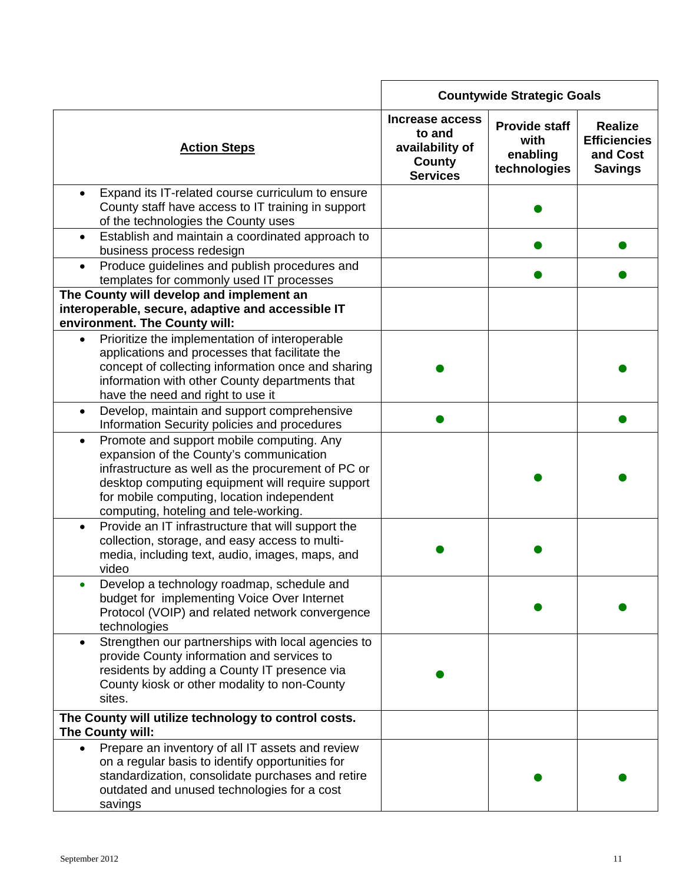|                                                                                                                                                                                                                                                                                                    |                                                                                  | <b>Countywide Strategic Goals</b>                        |                                                                     |
|----------------------------------------------------------------------------------------------------------------------------------------------------------------------------------------------------------------------------------------------------------------------------------------------------|----------------------------------------------------------------------------------|----------------------------------------------------------|---------------------------------------------------------------------|
| <b>Action Steps</b>                                                                                                                                                                                                                                                                                | Increase access<br>to and<br>availability of<br><b>County</b><br><b>Services</b> | <b>Provide staff</b><br>with<br>enabling<br>technologies | <b>Realize</b><br><b>Efficiencies</b><br>and Cost<br><b>Savings</b> |
| Expand its IT-related course curriculum to ensure<br>County staff have access to IT training in support<br>of the technologies the County uses                                                                                                                                                     |                                                                                  |                                                          |                                                                     |
| Establish and maintain a coordinated approach to<br>business process redesign                                                                                                                                                                                                                      |                                                                                  |                                                          |                                                                     |
| Produce guidelines and publish procedures and<br>$\bullet$<br>templates for commonly used IT processes                                                                                                                                                                                             |                                                                                  |                                                          |                                                                     |
| The County will develop and implement an<br>interoperable, secure, adaptive and accessible IT<br>environment. The County will:                                                                                                                                                                     |                                                                                  |                                                          |                                                                     |
| Prioritize the implementation of interoperable<br>applications and processes that facilitate the<br>concept of collecting information once and sharing<br>information with other County departments that<br>have the need and right to use it                                                      |                                                                                  |                                                          |                                                                     |
| Develop, maintain and support comprehensive<br>Information Security policies and procedures                                                                                                                                                                                                        |                                                                                  |                                                          |                                                                     |
| Promote and support mobile computing. Any<br>$\bullet$<br>expansion of the County's communication<br>infrastructure as well as the procurement of PC or<br>desktop computing equipment will require support<br>for mobile computing, location independent<br>computing, hoteling and tele-working. |                                                                                  |                                                          |                                                                     |
| Provide an IT infrastructure that will support the<br>$\bullet$<br>collection, storage, and easy access to multi-<br>media, including text, audio, images, maps, and<br>video                                                                                                                      |                                                                                  |                                                          |                                                                     |
| Develop a technology roadmap, schedule and<br>budget for implementing Voice Over Internet<br>Protocol (VOIP) and related network convergence<br>technologies                                                                                                                                       |                                                                                  |                                                          |                                                                     |
| Strengthen our partnerships with local agencies to<br>$\bullet$<br>provide County information and services to<br>residents by adding a County IT presence via<br>County kiosk or other modality to non-County<br>sites.                                                                            |                                                                                  |                                                          |                                                                     |
| The County will utilize technology to control costs.<br>The County will:                                                                                                                                                                                                                           |                                                                                  |                                                          |                                                                     |
| Prepare an inventory of all IT assets and review<br>$\bullet$<br>on a regular basis to identify opportunities for<br>standardization, consolidate purchases and retire<br>outdated and unused technologies for a cost<br>savings                                                                   |                                                                                  |                                                          |                                                                     |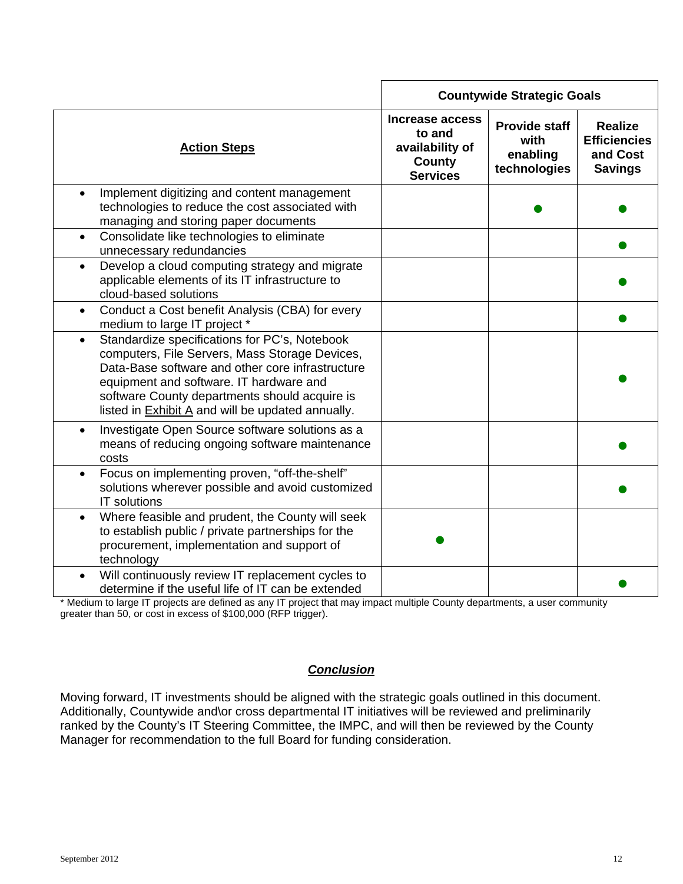|                                                                                                                                                                                                                                                                                                                          |                                                                           | <b>Countywide Strategic Goals</b>                        |                                                                     |
|--------------------------------------------------------------------------------------------------------------------------------------------------------------------------------------------------------------------------------------------------------------------------------------------------------------------------|---------------------------------------------------------------------------|----------------------------------------------------------|---------------------------------------------------------------------|
| <b>Action Steps</b>                                                                                                                                                                                                                                                                                                      | Increase access<br>to and<br>availability of<br>County<br><b>Services</b> | <b>Provide staff</b><br>with<br>enabling<br>technologies | <b>Realize</b><br><b>Efficiencies</b><br>and Cost<br><b>Savings</b> |
| Implement digitizing and content management<br>$\bullet$<br>technologies to reduce the cost associated with<br>managing and storing paper documents                                                                                                                                                                      |                                                                           |                                                          |                                                                     |
| Consolidate like technologies to eliminate<br>$\bullet$<br>unnecessary redundancies                                                                                                                                                                                                                                      |                                                                           |                                                          |                                                                     |
| Develop a cloud computing strategy and migrate<br>$\bullet$<br>applicable elements of its IT infrastructure to<br>cloud-based solutions                                                                                                                                                                                  |                                                                           |                                                          |                                                                     |
| Conduct a Cost benefit Analysis (CBA) for every<br>$\bullet$<br>medium to large IT project *                                                                                                                                                                                                                             |                                                                           |                                                          |                                                                     |
| Standardize specifications for PC's, Notebook<br>$\bullet$<br>computers, File Servers, Mass Storage Devices,<br>Data-Base software and other core infrastructure<br>equipment and software. IT hardware and<br>software County departments should acquire is<br>listed in <b>Exhibit A</b> and will be updated annually. |                                                                           |                                                          |                                                                     |
| Investigate Open Source software solutions as a<br>$\bullet$<br>means of reducing ongoing software maintenance<br>costs                                                                                                                                                                                                  |                                                                           |                                                          |                                                                     |
| Focus on implementing proven, "off-the-shelf"<br>$\bullet$<br>solutions wherever possible and avoid customized<br>IT solutions                                                                                                                                                                                           |                                                                           |                                                          |                                                                     |
| Where feasible and prudent, the County will seek<br>$\bullet$<br>to establish public / private partnerships for the<br>procurement, implementation and support of<br>technology                                                                                                                                          |                                                                           |                                                          |                                                                     |
| Will continuously review IT replacement cycles to<br>$\bullet$<br>determine if the useful life of IT can be extended                                                                                                                                                                                                     |                                                                           |                                                          |                                                                     |

\* Medium to large IT projects are defined as any IT project that may impact multiple County departments, a user community greater than 50, or cost in excess of \$100,000 (RFP trigger).

# *Conclusion*

Moving forward, IT investments should be aligned with the strategic goals outlined in this document. Additionally, Countywide and\or cross departmental IT initiatives will be reviewed and preliminarily ranked by the County's IT Steering Committee, the IMPC, and will then be reviewed by the County Manager for recommendation to the full Board for funding consideration.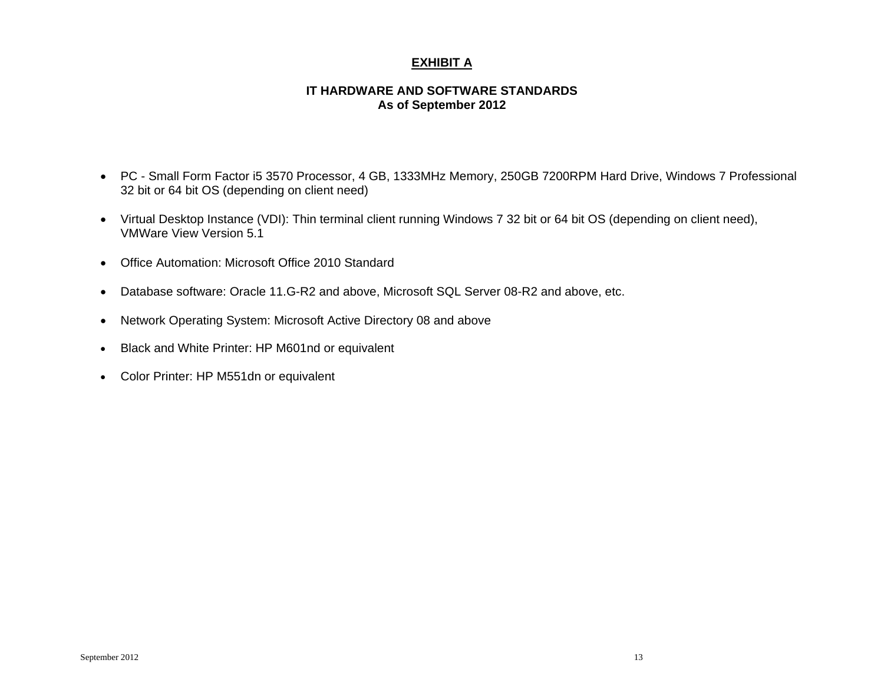# **EXHIBIT A**

#### **IT HARDWARE AND SOFTWARE STANDARDS As of September 2012**

- PC Small Form Factor i5 3570 Processor, 4 GB, 1333MHz Memory, 250GB 7200RPM Hard Drive, Windows 7 Professional 32 bit or 64 bit OS (depending on client need)
- Virtual Desktop Instance (VDI): Thin terminal client running Windows 7 32 bit or 64 bit OS (depending on client need), VMWare View Version 5.1
- Office Automation: Microsoft Office 2010 Standard
- Database software: Oracle 11.G-R2 and above, Microsoft SQL Server 08-R2 and above, etc.
- Network Operating System: Microsoft Active Directory 08 and above
- $\bullet$ Black and White Printer: HP M601nd or equivalent
- Color Printer: HP M551dn or equivalent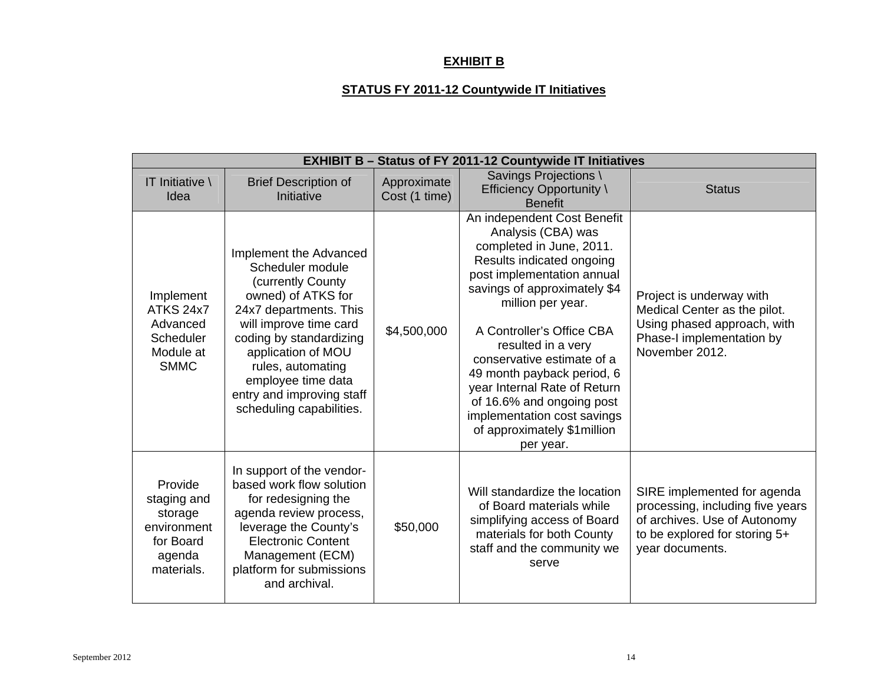# **EXHIBIT B**

# **STATUS FY 2011-12 Countywide IT Initiatives**

| <b>EXHIBIT B - Status of FY 2011-12 Countywide IT Initiatives</b>                     |                                                                                                                                                                                                                                                                                                 |                              |                                                                                                                                                                                                                                                                                                                                                                                                                                                       |                                                                                                                                                     |  |  |
|---------------------------------------------------------------------------------------|-------------------------------------------------------------------------------------------------------------------------------------------------------------------------------------------------------------------------------------------------------------------------------------------------|------------------------------|-------------------------------------------------------------------------------------------------------------------------------------------------------------------------------------------------------------------------------------------------------------------------------------------------------------------------------------------------------------------------------------------------------------------------------------------------------|-----------------------------------------------------------------------------------------------------------------------------------------------------|--|--|
| IT Initiative $\langle$<br>Idea                                                       | <b>Brief Description of</b><br>Initiative                                                                                                                                                                                                                                                       | Approximate<br>Cost (1 time) | Savings Projections \<br>Efficiency Opportunity \<br><b>Benefit</b>                                                                                                                                                                                                                                                                                                                                                                                   | <b>Status</b>                                                                                                                                       |  |  |
| Implement<br>ATKS 24x7<br>Advanced<br><b>Scheduler</b><br>Module at<br><b>SMMC</b>    | Implement the Advanced<br>Scheduler module<br>(currently County)<br>owned) of ATKS for<br>24x7 departments. This<br>will improve time card<br>coding by standardizing<br>application of MOU<br>rules, automating<br>employee time data<br>entry and improving staff<br>scheduling capabilities. | \$4,500,000                  | An independent Cost Benefit<br>Analysis (CBA) was<br>completed in June, 2011.<br>Results indicated ongoing<br>post implementation annual<br>savings of approximately \$4<br>million per year.<br>A Controller's Office CBA<br>resulted in a very<br>conservative estimate of a<br>49 month payback period, 6<br>year Internal Rate of Return<br>of 16.6% and ongoing post<br>implementation cost savings<br>of approximately \$1 million<br>per year. | Project is underway with<br>Medical Center as the pilot.<br>Using phased approach, with<br>Phase-I implementation by<br>November 2012.              |  |  |
| Provide<br>staging and<br>storage<br>environment<br>for Board<br>agenda<br>materials. | In support of the vendor-<br>based work flow solution<br>for redesigning the<br>agenda review process,<br>leverage the County's<br><b>Electronic Content</b><br>Management (ECM)<br>platform for submissions<br>and archival.                                                                   | \$50,000                     | Will standardize the location<br>of Board materials while<br>simplifying access of Board<br>materials for both County<br>staff and the community we<br>serve                                                                                                                                                                                                                                                                                          | SIRE implemented for agenda<br>processing, including five years<br>of archives. Use of Autonomy<br>to be explored for storing 5+<br>year documents. |  |  |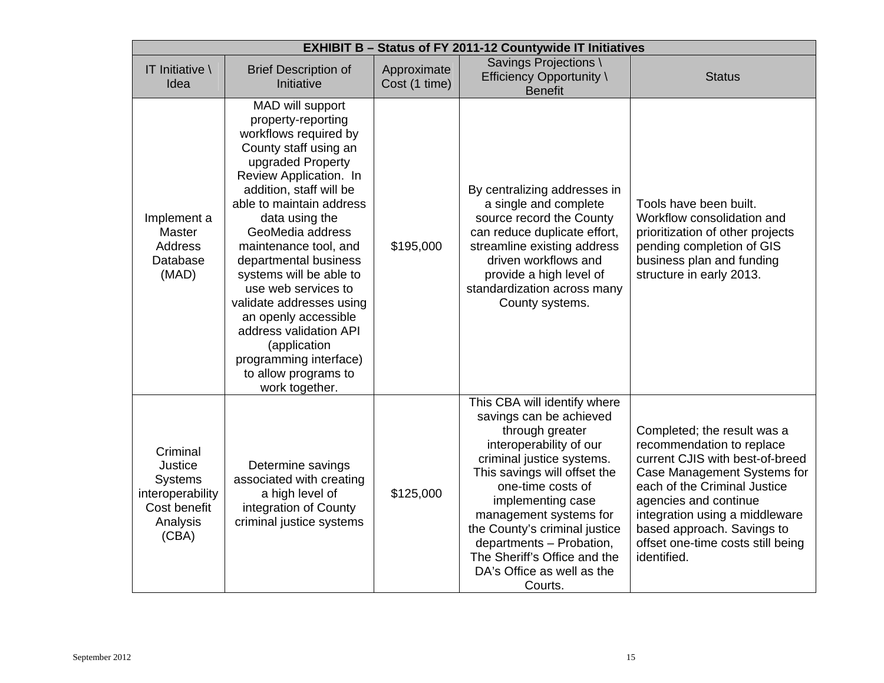| <b>EXHIBIT B - Status of FY 2011-12 Countywide IT Initiatives</b>                       |                                                                                                                                                                                                                                                                                                                                                                                                                                                                                                            |                              |                                                                                                                                                                                                                                                                                                                                                                              |                                                                                                                                                                                                                                                                                                         |  |
|-----------------------------------------------------------------------------------------|------------------------------------------------------------------------------------------------------------------------------------------------------------------------------------------------------------------------------------------------------------------------------------------------------------------------------------------------------------------------------------------------------------------------------------------------------------------------------------------------------------|------------------------------|------------------------------------------------------------------------------------------------------------------------------------------------------------------------------------------------------------------------------------------------------------------------------------------------------------------------------------------------------------------------------|---------------------------------------------------------------------------------------------------------------------------------------------------------------------------------------------------------------------------------------------------------------------------------------------------------|--|
| IT Initiative \<br>Idea                                                                 | <b>Brief Description of</b><br>Initiative                                                                                                                                                                                                                                                                                                                                                                                                                                                                  | Approximate<br>Cost (1 time) | Savings Projections \<br>Efficiency Opportunity \<br><b>Benefit</b>                                                                                                                                                                                                                                                                                                          | <b>Status</b>                                                                                                                                                                                                                                                                                           |  |
| Implement a<br>Master<br>Address<br>Database<br>(MAD)                                   | MAD will support<br>property-reporting<br>workflows required by<br>County staff using an<br>upgraded Property<br>Review Application. In<br>addition, staff will be<br>able to maintain address<br>data using the<br>GeoMedia address<br>maintenance tool, and<br>departmental business<br>systems will be able to<br>use web services to<br>validate addresses using<br>an openly accessible<br>address validation API<br>(application<br>programming interface)<br>to allow programs to<br>work together. | \$195,000                    | By centralizing addresses in<br>a single and complete<br>source record the County<br>can reduce duplicate effort,<br>streamline existing address<br>driven workflows and<br>provide a high level of<br>standardization across many<br>County systems.                                                                                                                        | Tools have been built.<br>Workflow consolidation and<br>prioritization of other projects<br>pending completion of GIS<br>business plan and funding<br>structure in early 2013.                                                                                                                          |  |
| Criminal<br>Justice<br>Systems<br>interoperability<br>Cost benefit<br>Analysis<br>(CBA) | Determine savings<br>associated with creating<br>a high level of<br>integration of County<br>criminal justice systems                                                                                                                                                                                                                                                                                                                                                                                      | \$125,000                    | This CBA will identify where<br>savings can be achieved<br>through greater<br>interoperability of our<br>criminal justice systems.<br>This savings will offset the<br>one-time costs of<br>implementing case<br>management systems for<br>the County's criminal justice<br>departments - Probation,<br>The Sheriff's Office and the<br>DA's Office as well as the<br>Courts. | Completed; the result was a<br>recommendation to replace<br>current CJIS with best-of-breed<br>Case Management Systems for<br>each of the Criminal Justice<br>agencies and continue<br>integration using a middleware<br>based approach. Savings to<br>offset one-time costs still being<br>identified. |  |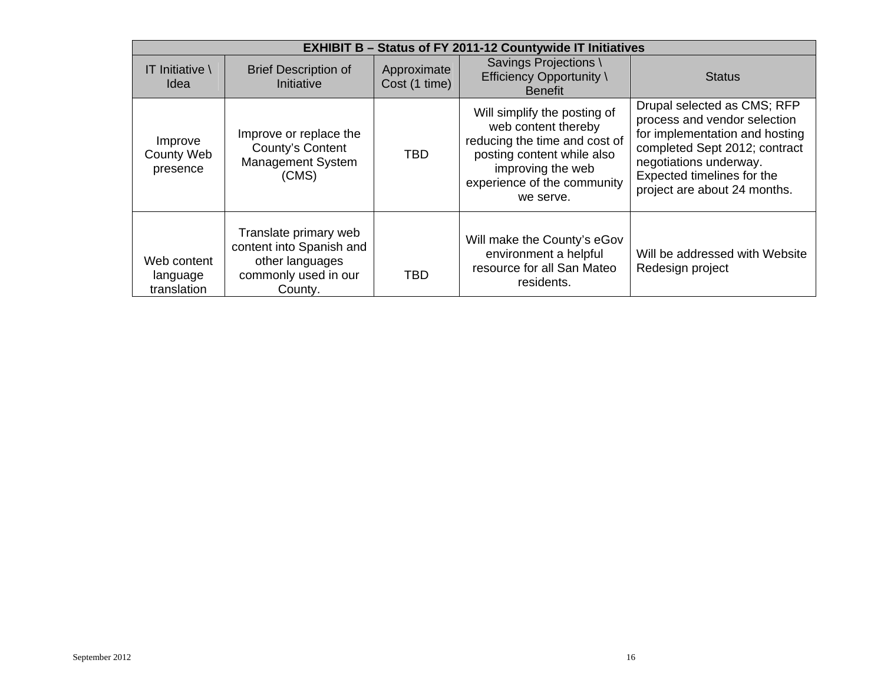|                                          | <b>EXHIBIT B - Status of FY 2011-12 Countywide IT Initiatives</b>                                       |                              |                                                                                                                                                                                     |                                                                                                                                                                                                                        |  |  |  |
|------------------------------------------|---------------------------------------------------------------------------------------------------------|------------------------------|-------------------------------------------------------------------------------------------------------------------------------------------------------------------------------------|------------------------------------------------------------------------------------------------------------------------------------------------------------------------------------------------------------------------|--|--|--|
| IT Initiative \<br>Idea                  | <b>Brief Description of</b><br>Initiative                                                               | Approximate<br>Cost (1 time) | Savings Projections<br><b>Efficiency Opportunity \</b><br><b>Benefit</b>                                                                                                            | <b>Status</b>                                                                                                                                                                                                          |  |  |  |
| Improve<br><b>County Web</b><br>presence | Improve or replace the<br>County's Content<br>Management System<br>(CMS)                                | <b>TBD</b>                   | Will simplify the posting of<br>web content thereby<br>reducing the time and cost of<br>posting content while also<br>improving the web<br>experience of the community<br>we serve. | Drupal selected as CMS; RFP<br>process and vendor selection<br>for implementation and hosting<br>completed Sept 2012; contract<br>negotiations underway.<br>Expected timelines for the<br>project are about 24 months. |  |  |  |
| Web content<br>language<br>translation   | Translate primary web<br>content into Spanish and<br>other languages<br>commonly used in our<br>County. | <b>TBD</b>                   | Will make the County's eGov<br>environment a helpful<br>resource for all San Mateo<br>residents.                                                                                    | Will be addressed with Website<br>Redesign project                                                                                                                                                                     |  |  |  |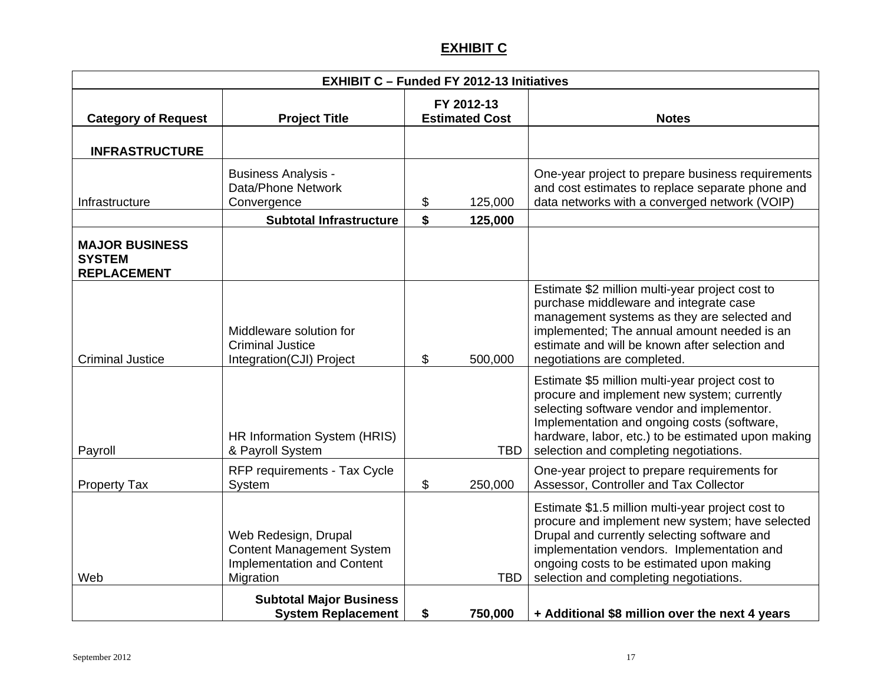# **EXHIBIT C**

| <b>EXHIBIT C - Funded FY 2012-13 Initiatives</b>             |                                                                                                     |          |                                     |                                                                                                                                                                                                                                                                                             |  |
|--------------------------------------------------------------|-----------------------------------------------------------------------------------------------------|----------|-------------------------------------|---------------------------------------------------------------------------------------------------------------------------------------------------------------------------------------------------------------------------------------------------------------------------------------------|--|
| <b>Category of Request</b>                                   | <b>Project Title</b>                                                                                |          | FY 2012-13<br><b>Estimated Cost</b> | <b>Notes</b>                                                                                                                                                                                                                                                                                |  |
| <b>INFRASTRUCTURE</b>                                        |                                                                                                     |          |                                     |                                                                                                                                                                                                                                                                                             |  |
| Infrastructure                                               | <b>Business Analysis -</b><br>Data/Phone Network<br>Convergence<br><b>Subtotal Infrastructure</b>   | \$<br>\$ | 125,000                             | One-year project to prepare business requirements<br>and cost estimates to replace separate phone and<br>data networks with a converged network (VOIP)                                                                                                                                      |  |
| <b>MAJOR BUSINESS</b><br><b>SYSTEM</b><br><b>REPLACEMENT</b> |                                                                                                     |          | 125,000                             |                                                                                                                                                                                                                                                                                             |  |
| <b>Criminal Justice</b>                                      | Middleware solution for<br><b>Criminal Justice</b><br>Integration(CJI) Project                      | \$       | 500,000                             | Estimate \$2 million multi-year project cost to<br>purchase middleware and integrate case<br>management systems as they are selected and<br>implemented; The annual amount needed is an<br>estimate and will be known after selection and<br>negotiations are completed.                    |  |
| Payroll                                                      | HR Information System (HRIS)<br>& Payroll System                                                    |          | <b>TBD</b>                          | Estimate \$5 million multi-year project cost to<br>procure and implement new system; currently<br>selecting software vendor and implementor.<br>Implementation and ongoing costs (software,<br>hardware, labor, etc.) to be estimated upon making<br>selection and completing negotiations. |  |
| <b>Property Tax</b>                                          | RFP requirements - Tax Cycle<br>System                                                              | \$       | 250,000                             | One-year project to prepare requirements for<br>Assessor, Controller and Tax Collector                                                                                                                                                                                                      |  |
| Web                                                          | Web Redesign, Drupal<br><b>Content Management System</b><br>Implementation and Content<br>Migration |          | <b>TBD</b>                          | Estimate \$1.5 million multi-year project cost to<br>procure and implement new system; have selected<br>Drupal and currently selecting software and<br>implementation vendors. Implementation and<br>ongoing costs to be estimated upon making<br>selection and completing negotiations.    |  |
|                                                              | <b>Subtotal Major Business</b><br><b>System Replacement</b>                                         | \$       | 750,000                             | + Additional \$8 million over the next 4 years                                                                                                                                                                                                                                              |  |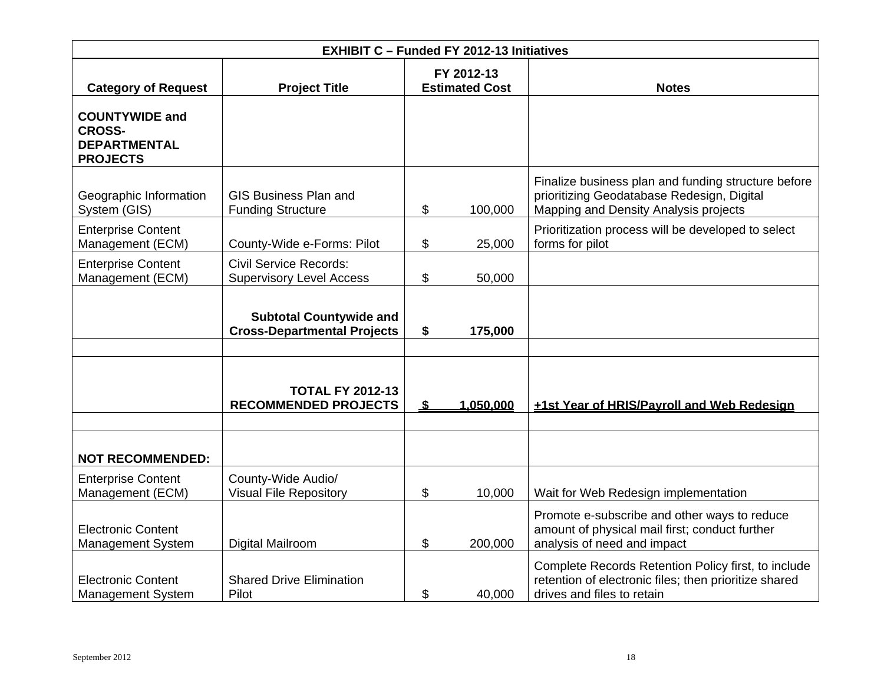| <b>EXHIBIT C - Funded FY 2012-13 Initiatives</b>                                 |                                                                      |          |                                     |                                                                                                                                            |  |  |
|----------------------------------------------------------------------------------|----------------------------------------------------------------------|----------|-------------------------------------|--------------------------------------------------------------------------------------------------------------------------------------------|--|--|
| <b>Category of Request</b>                                                       | <b>Project Title</b>                                                 |          | FY 2012-13<br><b>Estimated Cost</b> | <b>Notes</b>                                                                                                                               |  |  |
| <b>COUNTYWIDE and</b><br><b>CROSS-</b><br><b>DEPARTMENTAL</b><br><b>PROJECTS</b> |                                                                      |          |                                     |                                                                                                                                            |  |  |
| Geographic Information<br>System (GIS)                                           | <b>GIS Business Plan and</b><br><b>Funding Structure</b>             | \$       | 100,000                             | Finalize business plan and funding structure before<br>prioritizing Geodatabase Redesign, Digital<br>Mapping and Density Analysis projects |  |  |
| <b>Enterprise Content</b><br>Management (ECM)                                    | County-Wide e-Forms: Pilot                                           | \$       | 25,000                              | Prioritization process will be developed to select<br>forms for pilot                                                                      |  |  |
| <b>Enterprise Content</b><br>Management (ECM)                                    | <b>Civil Service Records:</b><br><b>Supervisory Level Access</b>     | \$       | 50,000                              |                                                                                                                                            |  |  |
|                                                                                  | <b>Subtotal Countywide and</b><br><b>Cross-Departmental Projects</b> | \$       | 175,000                             |                                                                                                                                            |  |  |
|                                                                                  |                                                                      |          |                                     |                                                                                                                                            |  |  |
|                                                                                  | <b>TOTAL FY 2012-13</b><br><b>RECOMMENDED PROJECTS</b>               | <u>s</u> | 1.050.000                           | +1st Year of HRIS/Payroll and Web Redesign                                                                                                 |  |  |
| <b>NOT RECOMMENDED:</b>                                                          |                                                                      |          |                                     |                                                                                                                                            |  |  |
| <b>Enterprise Content</b><br>Management (ECM)                                    | County-Wide Audio/<br><b>Visual File Repository</b>                  | \$       | 10,000                              | Wait for Web Redesign implementation                                                                                                       |  |  |
| <b>Electronic Content</b><br><b>Management System</b>                            | Digital Mailroom                                                     | \$       | 200,000                             | Promote e-subscribe and other ways to reduce<br>amount of physical mail first; conduct further<br>analysis of need and impact              |  |  |
| <b>Electronic Content</b><br><b>Management System</b>                            | <b>Shared Drive Elimination</b><br>Pilot                             | \$       | 40,000                              | Complete Records Retention Policy first, to include<br>retention of electronic files; then prioritize shared<br>drives and files to retain |  |  |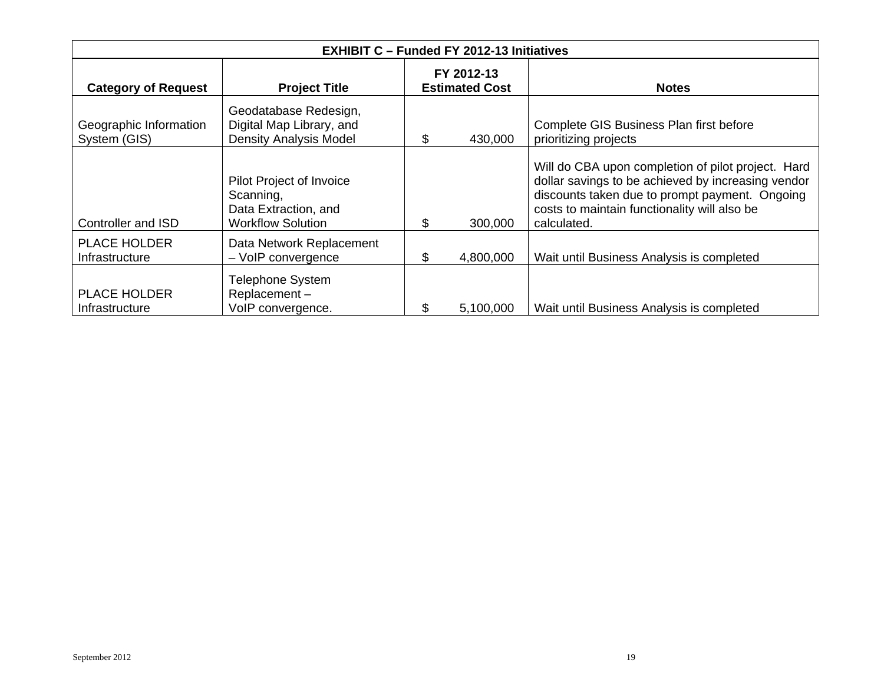| <b>EXHIBIT C - Funded FY 2012-13 Initiatives</b> |                                                                                           |    |                                     |                                                                                                                                                                                                                           |  |  |
|--------------------------------------------------|-------------------------------------------------------------------------------------------|----|-------------------------------------|---------------------------------------------------------------------------------------------------------------------------------------------------------------------------------------------------------------------------|--|--|
| <b>Category of Request</b>                       | <b>Project Title</b>                                                                      |    | FY 2012-13<br><b>Estimated Cost</b> | <b>Notes</b>                                                                                                                                                                                                              |  |  |
| Geographic Information<br>System (GIS)           | Geodatabase Redesign,<br>Digital Map Library, and<br><b>Density Analysis Model</b>        | \$ | 430,000                             | Complete GIS Business Plan first before<br>prioritizing projects                                                                                                                                                          |  |  |
| Controller and ISD                               | Pilot Project of Invoice<br>Scanning,<br>Data Extraction, and<br><b>Workflow Solution</b> | \$ | 300,000                             | Will do CBA upon completion of pilot project. Hard<br>dollar savings to be achieved by increasing vendor<br>discounts taken due to prompt payment. Ongoing<br>costs to maintain functionality will also be<br>calculated. |  |  |
| <b>PLACE HOLDER</b><br>Infrastructure            | Data Network Replacement<br>- VoIP convergence                                            | \$ | 4,800,000                           | Wait until Business Analysis is completed                                                                                                                                                                                 |  |  |
| <b>PLACE HOLDER</b><br>Infrastructure            | <b>Telephone System</b><br>Replacement-<br>VoIP convergence.                              | \$ | 5,100,000                           | Wait until Business Analysis is completed                                                                                                                                                                                 |  |  |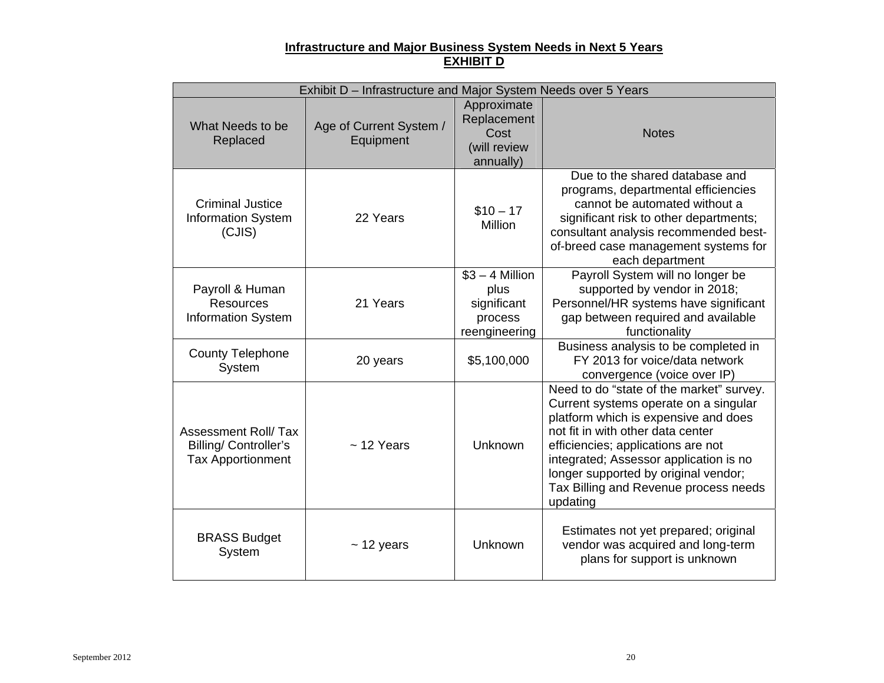#### **Infrastructure and Major Business System Needs in Next 5 Years EXHIBIT D**

|                                                                                       | Exhibit D - Infrastructure and Major System Needs over 5 Years |                                                                     |                                                                                                                                                                                                                                                                                                                                             |
|---------------------------------------------------------------------------------------|----------------------------------------------------------------|---------------------------------------------------------------------|---------------------------------------------------------------------------------------------------------------------------------------------------------------------------------------------------------------------------------------------------------------------------------------------------------------------------------------------|
| What Needs to be<br>Replaced                                                          | Age of Current System /<br>Equipment                           | Approximate<br>Replacement<br>Cost<br>(will review<br>annually)     | <b>Notes</b>                                                                                                                                                                                                                                                                                                                                |
| <b>Criminal Justice</b><br><b>Information System</b><br>(CJIS)                        | 22 Years                                                       | $$10 - 17$<br>Million                                               | Due to the shared database and<br>programs, departmental efficiencies<br>cannot be automated without a<br>significant risk to other departments;<br>consultant analysis recommended best-<br>of-breed case management systems for<br>each department                                                                                        |
| Payroll & Human<br><b>Resources</b><br><b>Information System</b>                      | 21 Years                                                       | $$3 - 4$ Million<br>plus<br>significant<br>process<br>reengineering | Payroll System will no longer be<br>supported by vendor in 2018;<br>Personnel/HR systems have significant<br>gap between required and available<br>functionality                                                                                                                                                                            |
| <b>County Telephone</b><br>System                                                     | 20 years                                                       | \$5,100,000                                                         | Business analysis to be completed in<br>FY 2013 for voice/data network<br>convergence (voice over IP)                                                                                                                                                                                                                                       |
| <b>Assessment Roll/Tax</b><br><b>Billing/Controller's</b><br><b>Tax Apportionment</b> | $~12$ Years                                                    | Unknown                                                             | Need to do "state of the market" survey.<br>Current systems operate on a singular<br>platform which is expensive and does<br>not fit in with other data center<br>efficiencies; applications are not<br>integrated; Assessor application is no<br>longer supported by original vendor;<br>Tax Billing and Revenue process needs<br>updating |
| <b>BRASS Budget</b><br>System                                                         | $~12$ years                                                    | Unknown                                                             | Estimates not yet prepared; original<br>vendor was acquired and long-term<br>plans for support is unknown                                                                                                                                                                                                                                   |